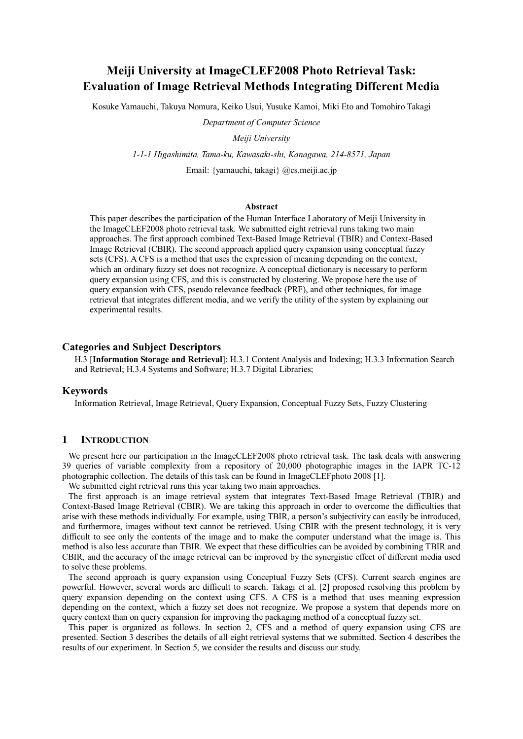# **Meiji University at ImageCLEF2008 Photo Retrieval Task: Evaluation of Image Retrieval Methods Integrating Different Media**

Kosuke Yamauchi, Takuya Nomura, Keiko Usui, Yusuke Kamoi, Miki Eto and Tomohiro Takagi

*Department of Computer Science*

*Meiji University*

*1-1-1 Higashimita, Tama-ku, Kawasaki-shi, Kanagawa, 214-8571, Japan*

Email: {yamauchi, takagi} @cs.meiji.ac.jp

# **Abstract**

This paper describes the participation of the Human Interface Laboratory of Meiji University in the ImageCLEF2008 photo retrieval task. We submitted eight retrieval runs taking two main approaches. The first approach combined Text-Based Image Retrieval (TBIR) and Context-Based Image Retrieval (CBIR). The second approach applied query expansion using conceptual fuzzy sets (CFS). A CFS is a method that uses the expression of meaning depending on the context, which an ordinary fuzzy set does not recognize. A conceptual dictionary is necessary to perform query expansion using CFS, and this is constructed by clustering. We propose here the use of query expansion with CFS, pseudo relevance feedback (PRF), and other techniques, for image retrieval that integrates different media, and we verify the utility of the system by explaining our experimental results.

# **Categories and Subject Descriptors**

H.3 [**Information Storage and Retrieval**]: H.3.1 Content Analysis and Indexing; H.3.3 Information Search and Retrieval; H.3.4 Systems and Software; H.3.7 Digital Libraries;

## **Keywords**

Information Retrieval, Image Retrieval, Query Expansion, Conceptual Fuzzy Sets, Fuzzy Clustering

# **1 INTRODUCTION**

We present here our participation in the ImageCLEF2008 photo retrieval task. The task deals with answering 39 queries of variable complexity from a repository of 20,000 photographic images in the IAPR TC-12 photographic collection. The details of this task can be found in ImageCLEFphoto 2008 [1].

We submitted eight retrieval runs this year taking two main approaches.

The first approach is an image retrieval system that integrates Text-Based Image Retrieval (TBIR) and Context-Based Image Retrieval (CBIR). We are taking this approach in order to overcome the difficulties that arise with these methods individually. For example, using TBIR, a person's subjectivity can easily be introduced, and furthermore, images without text cannot be retrieved. Using CBIR with the present technology, it is very difficult to see only the contents of the image and to make the computer understand what the image is. This method is also less accurate than TBIR. We expect that these difficulties can be avoided by combining TBIR and CBIR, and the accuracy of the image retrieval can be improved by the synergistic effect of different media used to solve these problems.

The second approach is query expansion using Conceptual Fuzzy Sets (CFS). Current search engines are powerful. However, several words are difficult to search. Takagi et al. [2] proposed resolving this problem by query expansion depending on the context using CFS. A CFS is a method that uses meaning expression depending on the context, which a fuzzy set does not recognize. We propose a system that depends more on query context than on query expansion for improving the packaging method of a conceptual fuzzy set.

This paper is organized as follows. In section 2, CFS and a method of query expansion using CFS are presented. Section 3 describes the details of all eight retrieval systems that we submitted. Section 4 describes the results of our experiment. In Section 5, we consider the results and discuss our study.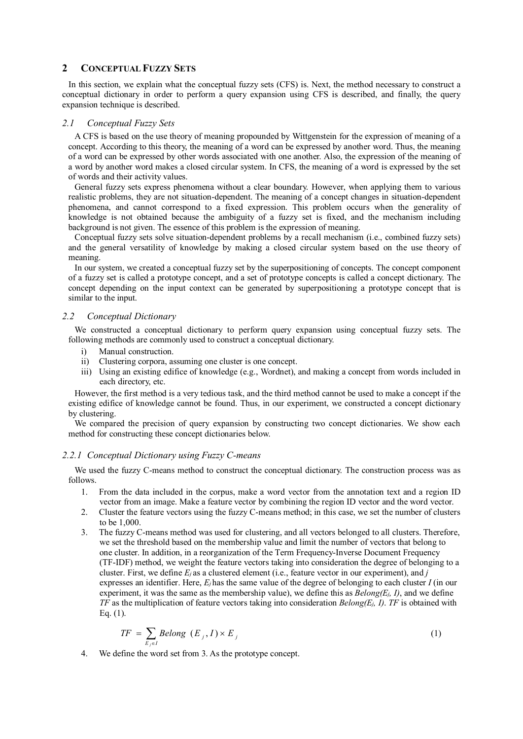# **2 CONCEPTUAL FUZZY SETS**

In this section, we explain what the conceptual fuzzy sets (CFS) is. Next, the method necessary to construct a conceptual dictionary in order to perform a query expansion using CFS is described, and finally, the query expansion technique is described.

## *2.1 Conceptual Fuzzy Sets*

A CFS is based on the use theory of meaning propounded by Wittgenstein for the expression of meaning of a concept. According to this theory, the meaning of a word can be expressed by another word. Thus, the meaning of a word can be expressed by other words associated with one another. Also, the expression of the meaning of a word by another word makes a closed circular system. In CFS, the meaning of a word is expressed by the set of words and their activity values.

General fuzzy sets express phenomena without a clear boundary. However, when applying them to various realistic problems, they are not situation-dependent. The meaning of a concept changes in situation-dependent phenomena, and cannot correspond to a fixed expression. This problem occurs when the generality of knowledge is not obtained because the ambiguity of a fuzzy set is fixed, and the mechanism including background is not given. The essence of this problem is the expression of meaning.

Conceptual fuzzy sets solve situation-dependent problems by a recall mechanism (i.e., combined fuzzy sets) and the general versatility of knowledge by making a closed circular system based on the use theory of meaning.

In our system, we created a conceptual fuzzy set by the superpositioning of concepts. The concept component of a fuzzy set is called a prototype concept, and a set of prototype concepts is called a concept dictionary. The concept depending on the input context can be generated by superpositioning a prototype concept that is similar to the input.

## *2.2 Conceptual Dictionary*

We constructed a conceptual dictionary to perform query expansion using conceptual fuzzy sets. The following methods are commonly used to construct a conceptual dictionary.

- i) Manual construction.
- ii) Clustering corpora, assuming one cluster is one concept.
- iii) Using an existing edifice of knowledge (e.g., Wordnet), and making a concept from words included in each directory, etc.

However, the first method is a very tedious task, and the third method cannot be used to make a concept if the existing edifice of knowledge cannot be found. Thus, in our experiment, we constructed a concept dictionary by clustering.

We compared the precision of query expansion by constructing two concept dictionaries. We show each method for constructing these concept dictionaries below.

## *2.2.1 Conceptual Dictionary using Fuzzy C-means*

We used the fuzzy C-means method to construct the conceptual dictionary. The construction process was as follows.

- 1. From the data included in the corpus, make a word vector from the annotation text and a region ID vector from an image. Make a feature vector by combining the region ID vector and the word vector.
- 2. Cluster the feature vectors using the fuzzy C-means method; in this case, we set the number of clusters to be 1,000.
- 3. The fuzzy C-means method was used for clustering, and all vectors belonged to all clusters. Therefore, we set the threshold based on the membership value and limit the number of vectors that belong to one cluster. In addition, in a reorganization of the Term Frequency-Inverse Document Frequency (TF-IDF) method, we weight the feature vectors taking into consideration the degree of belonging to a cluster. First, we define *Ej* as a clustered element (i.e., feature vector in our experiment), and *j* expresses an identifier. Here,  $E_i$  has the same value of the degree of belonging to each cluster *I* (in our experiment, it was the same as the membership value), we define this as  $Belong(E_j, I)$ , and we define *TF* as the multiplication of feature vectors taking into consideration *Belong(Ej, I)*. *TF* is obtained with Eq. (1).

$$
TF = \sum_{E_j \in I} Belong (E_j, I) \times E_j
$$
 (1)

4. We define the word set from 3. As the prototype concept.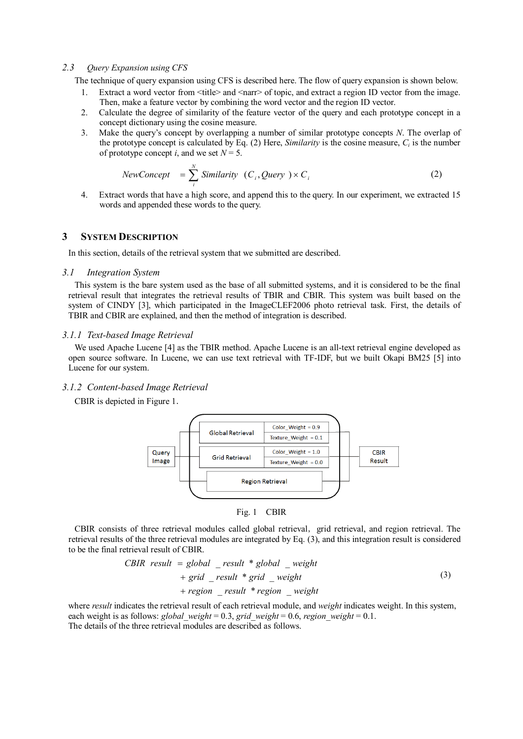## *2.3 Query Expansion using CFS*

The technique of query expansion using CFS is described here. The flow of query expansion is shown below.

- 1. Extract a word vector from <title> and <narr> of topic, and extract a region ID vector from the image. Then, make a feature vector by combining the word vector and the region ID vector.
- 2. Calculate the degree of similarity of the feature vector of the query and each prototype concept in a concept dictionary using the cosine measure.
- 3. Make the query's concept by overlapping a number of similar prototype concepts *N*. The overlap of the prototype concept is calculated by Eq.  $(2)$  Here, *Similarity* is the cosine measure,  $C_i$  is the number of prototype concept *i*, and we set  $N = 5$ .

$$
NewConcept = \sum_{i}^{N} Similarity (C_{i}, Query) \times C_{i}
$$
 (2)

4. Extract words that have a high score, and append this to the query. In our experiment, we extracted 15 words and appended these words to the query.

# **3 SYSTEM DESCRIPTION**

In this section, details of the retrieval system that we submitted are described.

#### *3.1 Integration System*

This system is the bare system used as the base of all submitted systems, and it is considered to be the final retrieval result that integrates the retrieval results of TBIR and CBIR. This system was built based on the system of CINDY [3], which participated in the ImageCLEF2006 photo retrieval task. First, the details of TBIR and CBIR are explained, and then the method of integration is described.

# *3.1.1 Text-based Image Retrieval*

We used Apache Lucene [4] as the TBIR method. Apache Lucene is an all-text retrieval engine developed as open source software. In Lucene, we can use text retrieval with TF-IDF, but we built Okapi BM25 [5] into Lucene for our system.

## *3.1.2 Content-based Image Retrieval*

CBIR is depicted in Figure 1.



Fig. 1 CBIR

CBIR consists of three retrieval modules called global retrieval, grid retrieval, and region retrieval. The retrieval results of the three retrieval modules are integrated by Eq. (3), and this integration result is considered to be the final retrieval result of CBIR.

*CBIR result* = global 
$$
__result
$$
 \* global  $__weight$ 

\n $+$  grid  $__result$  \* grid  $__weight$ 

\n $+$  region  $__result$  \* region  $__weight$ 

\n(3)

where *result* indicates the retrieval result of each retrieval module, and *weight* indicates weight. In this system, each weight is as follows: *global\_weight* = 0.3, *grid\_weight* = 0.6, *region\_weight* = 0.1. The details of the three retrieval modules are described as follows.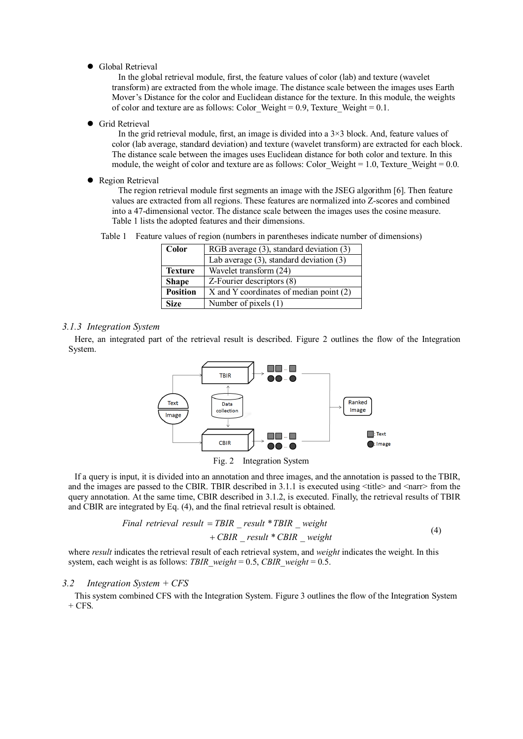Global Retrieval

In the global retrieval module, first, the feature values of color (lab) and texture (wavelet transform) are extracted from the whole image. The distance scale between the images uses Earth Mover's Distance for the color and Euclidean distance for the texture. In this module, the weights of color and texture are as follows: Color Weight =  $0.9$ , Texture Weight =  $0.1$ .

**•** Grid Retrieval

In the grid retrieval module, first, an image is divided into a 3×3 block. And, feature values of color (lab average, standard deviation) and texture (wavelet transform) are extracted for each block. The distance scale between the images uses Euclidean distance for both color and texture. In this module, the weight of color and texture are as follows: Color Weight  $= 1.0$ , Texture Weight  $= 0.0$ .

• Region Retrieval

The region retrieval module first segments an image with the JSEG algorithm [6]. Then feature values are extracted from all regions. These features are normalized into Z-scores and combined into a 47-dimensional vector. The distance scale between the images uses the cosine measure. Table 1 lists the adopted features and their dimensions.

Table 1 Feature values of region (numbers in parentheses indicate number of dimensions)

| Color           | RGB average (3), standard deviation (3)      |  |  |  |  |  |
|-----------------|----------------------------------------------|--|--|--|--|--|
|                 | Lab average $(3)$ , standard deviation $(3)$ |  |  |  |  |  |
| <b>Texture</b>  | Wavelet transform (24)                       |  |  |  |  |  |
| <b>Shape</b>    | Z-Fourier descriptors (8)                    |  |  |  |  |  |
| <b>Position</b> | X and Y coordinates of median point (2)      |  |  |  |  |  |
| <b>Size</b>     | Number of pixels (1)                         |  |  |  |  |  |

# *3.1.3 Integration System*

Here, an integrated part of the retrieval result is described. Figure 2 outlines the flow of the Integration System.



Fig. 2 Integration System

If a query is input, it is divided into an annotation and three images, and the annotation is passed to the TBIR, and the images are passed to the CBIR. TBIR described in  $3.1.1$  is executed using  $\lt$ title $\gt$  and  $\lt$ narr $\gt$  from the query annotation. At the same time, CBIR described in 3.1.2, is executed. Finally, the retrieval results of TBIR and CBIR are integrated by Eq. (4), and the final retrieval result is obtained.

Final retrieval result = TBIR \_ result \* TBIR \_ weight

\n
$$
+ C BIR _ result * C BIR _ weight
$$
\n(4)

where *result* indicates the retrieval result of each retrieval system, and *weight* indicates the weight. In this system, each weight is as follows: *TBIR\_weight* = 0.5, *CBIR\_weight* = 0.5.

#### *3.2 Integration System + CFS*

This system combined CFS with the Integration System. Figure 3 outlines the flow of the Integration System  $+$  CFS.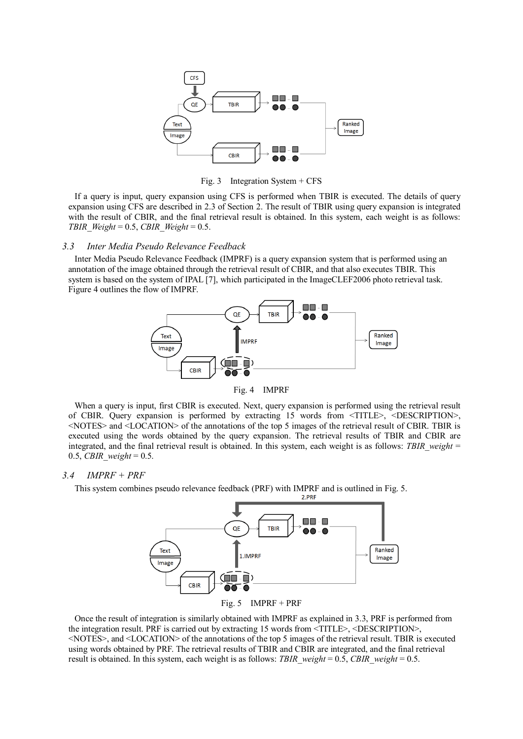

Fig. 3 Integration System + CFS

If a query is input, query expansion using CFS is performed when TBIR is executed. The details of query expansion using CFS are described in 2.3 of Section 2. The result of TBIR using query expansion is integrated with the result of CBIR, and the final retrieval result is obtained. In this system, each weight is as follows: *TBIR\_Weight* = 0.5, *CBIR\_Weight* = 0.5.

## *3.3 Inter Media Pseudo Relevance Feedback*

Inter Media Pseudo Relevance Feedback (IMPRF) is a query expansion system that is performed using an annotation of the image obtained through the retrieval result of CBIR, and that also executes TBIR. This system is based on the system of IPAL [7], which participated in the ImageCLEF2006 photo retrieval task. Figure 4 outlines the flow of IMPRF.



Fig. 4 IMPRF

When a query is input, first CBIR is executed. Next, query expansion is performed using the retrieval result of CBIR. Query expansion is performed by extracting 15 words from <TITLE>, <DESCRIPTION>, <NOTES> and <LOCATION> of the annotations of the top 5 images of the retrieval result of CBIR. TBIR is executed using the words obtained by the query expansion. The retrieval results of TBIR and CBIR are integrated, and the final retrieval result is obtained. In this system, each weight is as follows: *TBIR weight* = 0.5, *CBIR\_weight* = 0.5.

# *3.4 IMPRF + PRF*

This system combines pseudo relevance feedback (PRF) with IMPRF and is outlined in Fig. 5.



Fig. 5 IMPRF + PRF

Once the result of integration is similarly obtained with IMPRF as explained in 3.3, PRF is performed from the integration result. PRF is carried out by extracting 15 words from <TITLE>, <DESCRIPTION>, <NOTES>, and <LOCATION> of the annotations of the top 5 images of the retrieval result. TBIR is executed using words obtained by PRF. The retrieval results of TBIR and CBIR are integrated, and the final retrieval result is obtained. In this system, each weight is as follows: *TBIR\_weight* = 0.5, *CBIR\_weight* = 0.5.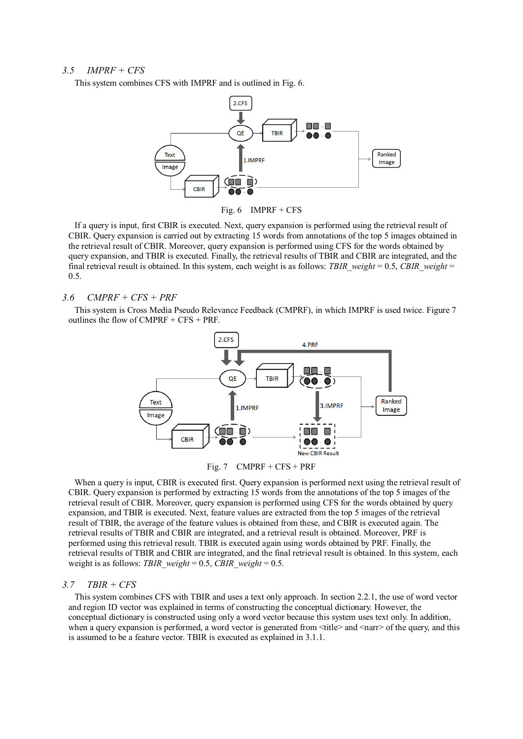## *3.5 IMPRF + CFS*

This system combines CFS with IMPRF and is outlined in Fig. 6.



Fig. 6 IMPRF + CFS

If a query is input, first CBIR is executed. Next, query expansion is performed using the retrieval result of CBIR. Query expansion is carried out by extracting 15 words from annotations of the top 5 images obtained in the retrieval result of CBIR. Moreover, query expansion is performed using CFS for the words obtained by query expansion, and TBIR is executed. Finally, the retrieval results of TBIR and CBIR are integrated, and the final retrieval result is obtained. In this system, each weight is as follows: *TBIR\_weight* = 0.5, *CBIR\_weight* = 0.5.

## *3.6 CMPRF + CFS + PRF*

This system is Cross Media Pseudo Relevance Feedback (CMPRF), in which IMPRF is used twice. Figure 7 outlines the flow of CMPRF + CFS + PRF.



Fig. 7  $CMPRF + CFS + PRF$ 

When a query is input, CBIR is executed first. Query expansion is performed next using the retrieval result of CBIR. Query expansion is performed by extracting 15 words from the annotations of the top 5 images of the retrieval result of CBIR. Moreover, query expansion is performed using CFS for the words obtained by query expansion, and TBIR is executed. Next, feature values are extracted from the top 5 images of the retrieval result of TBIR, the average of the feature values is obtained from these, and CBIR is executed again. The retrieval results of TBIR and CBIR are integrated, and a retrieval result is obtained. Moreover, PRF is performed using this retrieval result. TBIR is executed again using words obtained by PRF. Finally, the retrieval results of TBIR and CBIR are integrated, and the final retrieval result is obtained. In this system, each weight is as follows: *TBIR\_weight* = 0.5, *CBIR\_weight* = 0.5.

# *3.7 TBIR + CFS*

This system combines CFS with TBIR and uses a text only approach. In section 2.2.1, the use of word vector and region ID vector was explained in terms of constructing the conceptual dictionary. However, the conceptual dictionary is constructed using only a word vector because this system uses text only. In addition, when a query expansion is performed, a word vector is generated from  $\lt$ title $\gt$  and  $\lt$ narr $\gt$  of the query, and this is assumed to be a feature vector. TBIR is executed as explained in 3.1.1.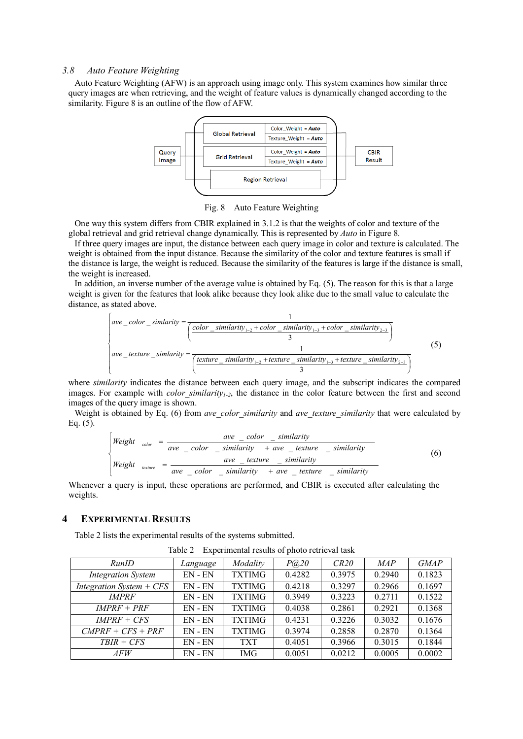#### *3.8 Auto Feature Weighting*

Auto Feature Weighting (AFW) is an approach using image only. This system examines how similar three query images are when retrieving, and the weight of feature values is dynamically changed according to the similarity. Figure 8 is an outline of the flow of AFW.



Fig. 8 Auto Feature Weighting

One way this system differs from CBIR explained in 3.1.2 is that the weights of color and texture of the global retrieval and grid retrieval change dynamically. This is represented by *Auto* in Figure 8.

If three query images are input, the distance between each query image in color and texture is calculated. The weight is obtained from the input distance. Because the similarity of the color and texture features is small if the distance is large, the weight is reduced. Because the similarity of the features is large if the distance is small, the weight is increased.

In addition, an inverse number of the average value is obtained by Eq. (5). The reason for this is that a large weight is given for the features that look alike because they look alike due to the small value to calculate the distance, as stated above.

$$
\begin{cases}\nave\_color\_similarity = \frac{1}{\frac{color\_similarity_{1-2} + color\_similarity_{1-3} + color\_similarity_{2-3}}{3}} \\
ave\_texture\_similarity = \frac{1}{\frac{texture\_similarity_{1-2} + texture\_similarity_{1-3} + texture\_similarity_{2-3}}{3}}\n\end{cases}
$$
\n(5)

where *similarity* indicates the distance between each query image, and the subscript indicates the compared images. For example with *color similarity<sub>1-2</sub>*, the distance in the color feature between the first and second images of the query image is shown.

Weight is obtained by Eq. (6) from *ave\_color\_similarity* and *ave\_texture\_similarity* that were calculated by Eq. (5).

$$
\begin{cases}\nWeight \quad_{\text{color}} = \frac{ave\_color - \text{similarity}}{ave\_color - \text{similarity}} \\
Weight \quad_{\text{ensure}} = \frac{ave\_color - \text{similarity}}{ave\_color - \text{similarity}} \\
= \frac{ave\_texture - \text{similarity}}{ave\_color - \text{similarity}} + ave\_texture - \text{similarity}\n\end{cases}
$$
\n(6)

Whenever a query is input, these operations are performed, and CBIR is executed after calculating the weights.

# **4 EXPERIMENTAL RESULTS**

Table 2 lists the experimental results of the systems submitted.

| RunID                      | Language    | Modality      | P@20   | CR20   | <b>MAP</b> | <b>GMAP</b> |
|----------------------------|-------------|---------------|--------|--------|------------|-------------|
| <b>Integration System</b>  | EN-EN       | <b>TXTIMG</b> | 0.4282 | 0.3975 | 0.2940     | 0.1823      |
| Integration System $+$ CFS | $EN$ - $EN$ | <b>TXTIMG</b> | 0.4218 | 0.3297 | 0.2966     | 0.1697      |
| <b>IMPRF</b>               | EN-EN       | <b>TXTIMG</b> | 0.3949 | 0.3223 | 0.2711     | 0.1522      |
| $IMPRF + PRF$              | $EN$ - $EN$ | <b>TXTIMG</b> | 0.4038 | 0.2861 | 0.2921     | 0.1368      |
| $IMPRF + CFS$              | $EN$ - $EN$ | <b>TXTIMG</b> | 0.4231 | 0.3226 | 0.3032     | 0.1676      |
| $CMPRF + CFS + PRF$        | EN-EN       | <b>TXTIMG</b> | 0.3974 | 0.2858 | 0.2870     | 0.1364      |
| $T B I R + C F S$          | $EN$ - $EN$ | <b>TXT</b>    | 0.4051 | 0.3966 | 0.3015     | 0.1844      |
| <i>AFW</i>                 | $EN - EN$   | <b>IMG</b>    | 0.0051 | 0.0212 | 0.0005     | 0.0002      |

Table 2 Experimental results of photo retrieval task